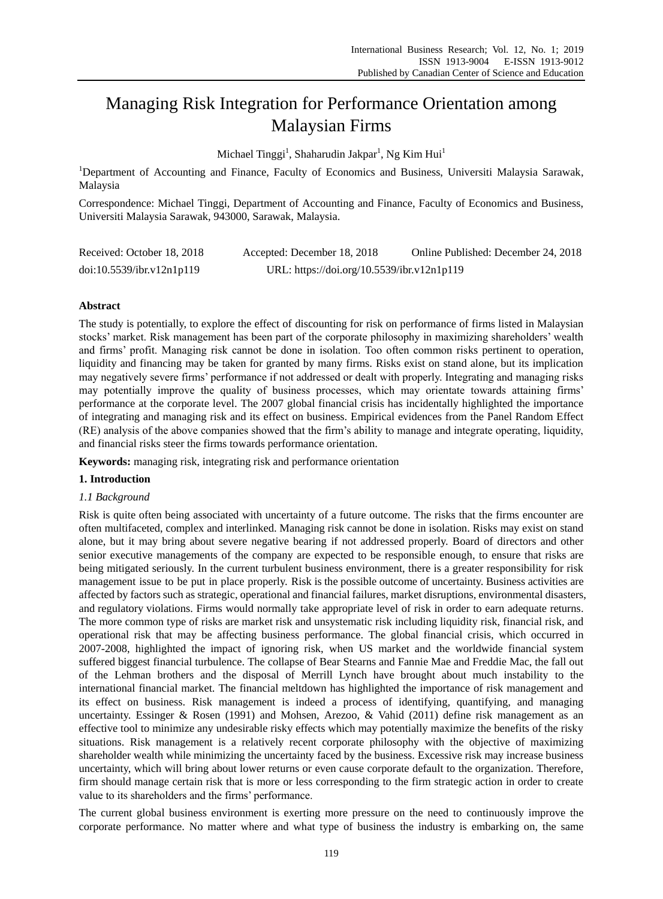# Managing Risk Integration for Performance Orientation among Malaysian Firms

Michael Tinggi<sup>1</sup>, Shaharudin Jakpar<sup>1</sup>, Ng Kim Hui<sup>1</sup>

<sup>1</sup>Department of Accounting and Finance, Faculty of Economics and Business, Universiti Malaysia Sarawak, Malaysia

Correspondence: Michael Tinggi, Department of Accounting and Finance, Faculty of Economics and Business, Universiti Malaysia Sarawak, 943000, Sarawak, Malaysia.

| Received: October 18, 2018 | Accepted: December 18, 2018                | Online Published: December 24, 2018 |
|----------------------------|--------------------------------------------|-------------------------------------|
| doi:10.5539/ibr.v12n1p119  | URL: https://doi.org/10.5539/ibr.v12n1p119 |                                     |

# **Abstract**

The study is potentially, to explore the effect of discounting for risk on performance of firms listed in Malaysian stocks' market. Risk management has been part of the corporate philosophy in maximizing shareholders' wealth and firms' profit. Managing risk cannot be done in isolation. Too often common risks pertinent to operation, liquidity and financing may be taken for granted by many firms. Risks exist on stand alone, but its implication may negatively severe firms' performance if not addressed or dealt with properly. Integrating and managing risks may potentially improve the quality of business processes, which may orientate towards attaining firms' performance at the corporate level. The 2007 global financial crisis has incidentally highlighted the importance of integrating and managing risk and its effect on business. Empirical evidences from the Panel Random Effect (RE) analysis of the above companies showed that the firm's ability to manage and integrate operating, liquidity, and financial risks steer the firms towards performance orientation.

**Keywords:** managing risk, integrating risk and performance orientation

# **1. Introduction**

# *1.1 Background*

Risk is quite often being associated with uncertainty of a future outcome. The risks that the firms encounter are often multifaceted, complex and interlinked. Managing risk cannot be done in isolation. Risks may exist on stand alone, but it may bring about severe negative bearing if not addressed properly. Board of directors and other senior executive managements of the company are expected to be responsible enough, to ensure that risks are being mitigated seriously. In the current turbulent business environment, there is a greater responsibility for risk management issue to be put in place properly. Risk is the possible outcome of uncertainty. Business activities are affected by factors such as strategic, operational and financial failures, market disruptions, environmental disasters, and regulatory violations. Firms would normally take appropriate level of risk in order to earn adequate returns. The more common type of risks are market risk and unsystematic risk including liquidity risk, financial risk, and operational risk that may be affecting business performance. The global financial crisis, which occurred in 2007-2008, highlighted the impact of ignoring risk, when US market and the worldwide financial system suffered biggest financial turbulence. The collapse of Bear Stearns and Fannie Mae and Freddie Mac, the fall out of the Lehman brothers and the disposal of Merrill Lynch have brought about much instability to the international financial market. The financial meltdown has highlighted the importance of risk management and its effect on business. Risk management is indeed a process of identifying, quantifying, and managing uncertainty. Essinger & Rosen (1991) and Mohsen, Arezoo, & Vahid (2011) define risk management as an effective tool to minimize any undesirable risky effects which may potentially maximize the benefits of the risky situations. Risk management is a relatively recent corporate philosophy with the objective of maximizing shareholder wealth while minimizing the uncertainty faced by the business. Excessive risk may increase business uncertainty, which will bring about lower returns or even cause corporate default to the organization. Therefore, firm should manage certain risk that is more or less corresponding to the firm strategic action in order to create value to its shareholders and the firms' performance.

The current global business environment is exerting more pressure on the need to continuously improve the corporate performance. No matter where and what type of business the industry is embarking on, the same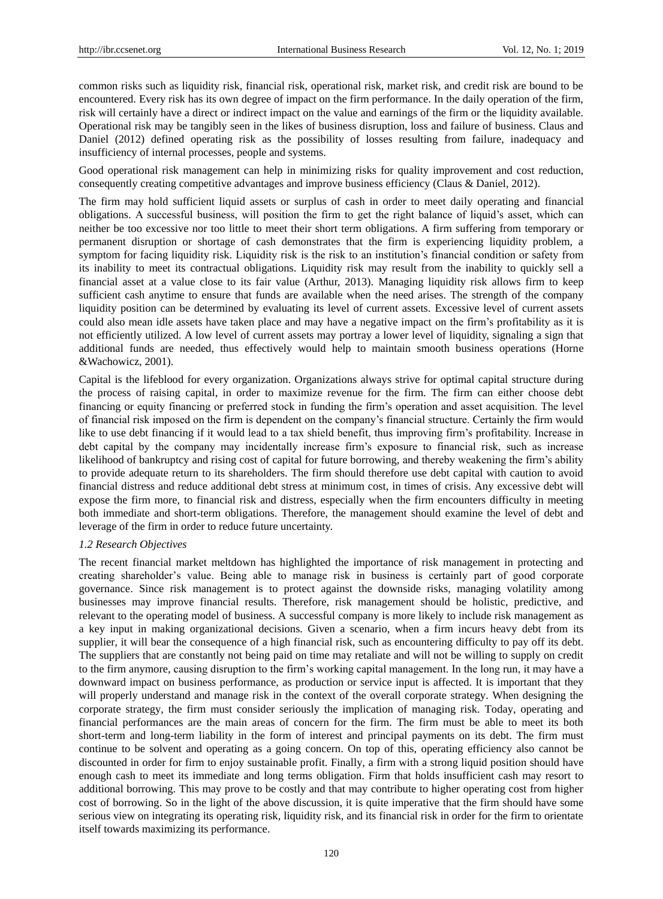common risks such as liquidity risk, financial risk, operational risk, market risk, and credit risk are bound to be encountered. Every risk has its own degree of impact on the firm performance. In the daily operation of the firm, risk will certainly have a direct or indirect impact on the value and earnings of the firm or the liquidity available. Operational risk may be tangibly seen in the likes of business disruption, loss and failure of business. Claus and Daniel (2012) defined operating risk as the possibility of losses resulting from failure, inadequacy and insufficiency of internal processes, people and systems.

Good operational risk management can help in minimizing risks for quality improvement and cost reduction, consequently creating competitive advantages and improve business efficiency (Claus & Daniel, 2012).

The firm may hold sufficient liquid assets or surplus of cash in order to meet daily operating and financial obligations. A successful business, will position the firm to get the right balance of liquid's asset, which can neither be too excessive nor too little to meet their short term obligations. A firm suffering from temporary or permanent disruption or shortage of cash demonstrates that the firm is experiencing liquidity problem, a symptom for facing liquidity risk. Liquidity risk is the risk to an institution's financial condition or safety from its inability to meet its contractual obligations. Liquidity risk may result from the inability to quickly sell a financial asset at a value close to its fair value (Arthur, 2013). Managing liquidity risk allows firm to keep sufficient cash anytime to ensure that funds are available when the need arises. The strength of the company liquidity position can be determined by evaluating its level of current assets. Excessive level of current assets could also mean idle assets have taken place and may have a negative impact on the firm's profitability as it is not efficiently utilized. A low level of current assets may portray a lower level of liquidity, signaling a sign that additional funds are needed, thus effectively would help to maintain smooth business operations (Horne &Wachowicz, 2001).

Capital is the lifeblood for every organization. Organizations always strive for optimal capital structure during the process of raising capital, in order to maximize revenue for the firm. The firm can either choose debt financing or equity financing or preferred stock in funding the firm's operation and asset acquisition. The level of financial risk imposed on the firm is dependent on the company's financial structure. Certainly the firm would like to use debt financing if it would lead to a tax shield benefit, thus improving firm's profitability. Increase in debt capital by the company may incidentally increase firm's exposure to financial risk, such as increase likelihood of bankruptcy and rising cost of capital for future borrowing, and thereby weakening the firm's ability to provide adequate return to its shareholders. The firm should therefore use debt capital with caution to avoid financial distress and reduce additional debt stress at minimum cost, in times of crisis. Any excessive debt will expose the firm more, to financial risk and distress, especially when the firm encounters difficulty in meeting both immediate and short-term obligations. Therefore, the management should examine the level of debt and leverage of the firm in order to reduce future uncertainty.

## *1.2 Research Objectives*

The recent financial market meltdown has highlighted the importance of risk management in protecting and creating shareholder's value. Being able to manage risk in business is certainly part of good corporate governance. Since risk management is to protect against the downside risks, managing volatility among businesses may improve financial results. Therefore, risk management should be holistic, predictive, and relevant to the operating model of business. A successful company is more likely to include risk management as a key input in making organizational decisions. Given a scenario, when a firm incurs heavy debt from its supplier, it will bear the consequence of a high financial risk, such as encountering difficulty to pay off its debt. The suppliers that are constantly not being paid on time may retaliate and will not be willing to supply on credit to the firm anymore, causing disruption to the firm's working capital management. In the long run, it may have a downward impact on business performance, as production or service input is affected. It is important that they will properly understand and manage risk in the context of the overall corporate strategy. When designing the corporate strategy, the firm must consider seriously the implication of managing risk. Today, operating and financial performances are the main areas of concern for the firm. The firm must be able to meet its both short-term and long-term liability in the form of interest and principal payments on its debt. The firm must continue to be solvent and operating as a going concern. On top of this, operating efficiency also cannot be discounted in order for firm to enjoy sustainable profit. Finally, a firm with a strong liquid position should have enough cash to meet its immediate and long terms obligation. Firm that holds insufficient cash may resort to additional borrowing. This may prove to be costly and that may contribute to higher operating cost from higher cost of borrowing. So in the light of the above discussion, it is quite imperative that the firm should have some serious view on integrating its operating risk, liquidity risk, and its financial risk in order for the firm to orientate itself towards maximizing its performance.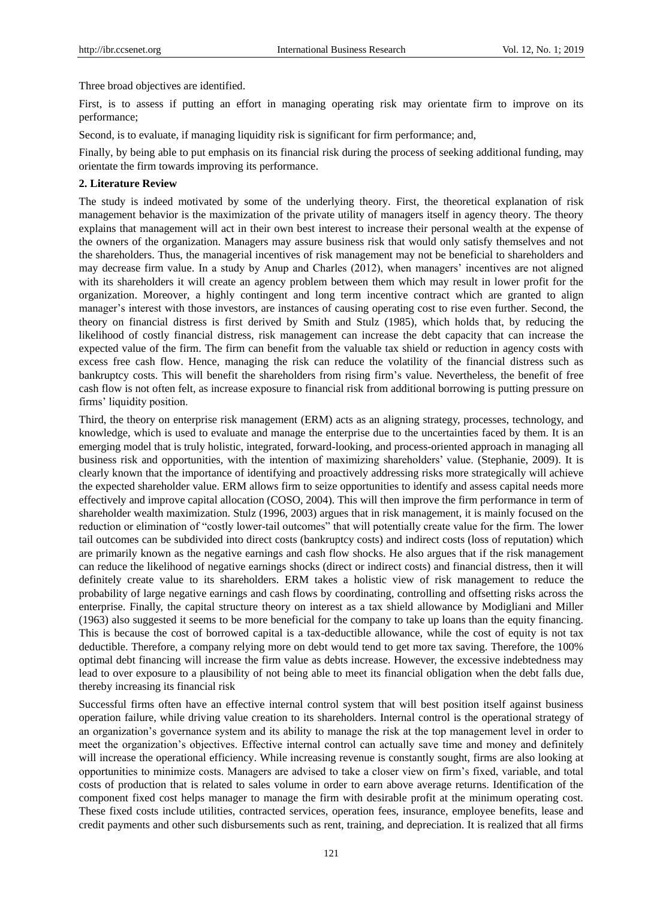Three broad objectives are identified.

First, is to assess if putting an effort in managing operating risk may orientate firm to improve on its performance;

Second, is to evaluate, if managing liquidity risk is significant for firm performance; and,

Finally, by being able to put emphasis on its financial risk during the process of seeking additional funding, may orientate the firm towards improving its performance.

## **2. Literature Review**

The study is indeed motivated by some of the underlying theory. First, the theoretical explanation of risk management behavior is the maximization of the private utility of managers itself in agency theory. The theory explains that management will act in their own best interest to increase their personal wealth at the expense of the owners of the organization. Managers may assure business risk that would only satisfy themselves and not the shareholders. Thus, the managerial incentives of risk management may not be beneficial to shareholders and may decrease firm value. In a study by Anup and Charles (2012), when managers' incentives are not aligned with its shareholders it will create an agency problem between them which may result in lower profit for the organization. Moreover, a highly contingent and long term incentive contract which are granted to align manager's interest with those investors, are instances of causing operating cost to rise even further. Second, the theory on financial distress is first derived by Smith and Stulz (1985), which holds that, by reducing the likelihood of costly financial distress, risk management can increase the debt capacity that can increase the expected value of the firm. The firm can benefit from the valuable tax shield or reduction in agency costs with excess free cash flow. Hence, managing the risk can reduce the volatility of the financial distress such as bankruptcy costs. This will benefit the shareholders from rising firm's value. Nevertheless, the benefit of free cash flow is not often felt, as increase exposure to financial risk from additional borrowing is putting pressure on firms' liquidity position.

Third, the theory on enterprise risk management (ERM) acts as an aligning strategy, processes, technology, and knowledge, which is used to evaluate and manage the enterprise due to the uncertainties faced by them. It is an emerging model that is truly holistic, integrated, forward-looking, and process-oriented approach in managing all business risk and opportunities, with the intention of maximizing shareholders' value. (Stephanie, 2009). It is clearly known that the importance of identifying and proactively addressing risks more strategically will achieve the expected shareholder value. ERM allows firm to seize opportunities to identify and assess capital needs more effectively and improve capital allocation (COSO, 2004). This will then improve the firm performance in term of shareholder wealth maximization. Stulz (1996, 2003) argues that in risk management, it is mainly focused on the reduction or elimination of "costly lower-tail outcomes" that will potentially create value for the firm. The lower tail outcomes can be subdivided into direct costs (bankruptcy costs) and indirect costs (loss of reputation) which are primarily known as the negative earnings and cash flow shocks. He also argues that if the risk management can reduce the likelihood of negative earnings shocks (direct or indirect costs) and financial distress, then it will definitely create value to its shareholders. ERM takes a holistic view of risk management to reduce the probability of large negative earnings and cash flows by coordinating, controlling and offsetting risks across the enterprise. Finally, the capital structure theory on interest as a tax shield allowance by Modigliani and Miller (1963) also suggested it seems to be more beneficial for the company to take up loans than the equity financing. This is because the cost of borrowed capital is a tax-deductible allowance, while the cost of equity is not tax deductible. Therefore, a company relying more on debt would tend to get more tax saving. Therefore, the 100% optimal debt financing will increase the firm value as debts increase. However, the excessive indebtedness may lead to over exposure to a plausibility of not being able to meet its financial obligation when the debt falls due, thereby increasing its financial risk

Successful firms often have an effective internal control system that will best position itself against business operation failure, while driving value creation to its shareholders. Internal control is the operational strategy of an organization's governance system and its ability to manage the risk at the top management level in order to meet the organization's objectives. Effective internal control can actually save time and money and definitely will increase the operational efficiency. While increasing revenue is constantly sought, firms are also looking at opportunities to minimize costs. Managers are advised to take a closer view on firm's fixed, variable, and total costs of production that is related to sales volume in order to earn above average returns. Identification of the component fixed cost helps manager to manage the firm with desirable profit at the minimum operating cost. These fixed costs include utilities, contracted services, operation fees, insurance, employee benefits, lease and credit payments and other such disbursements such as rent, training, and depreciation. It is realized that all firms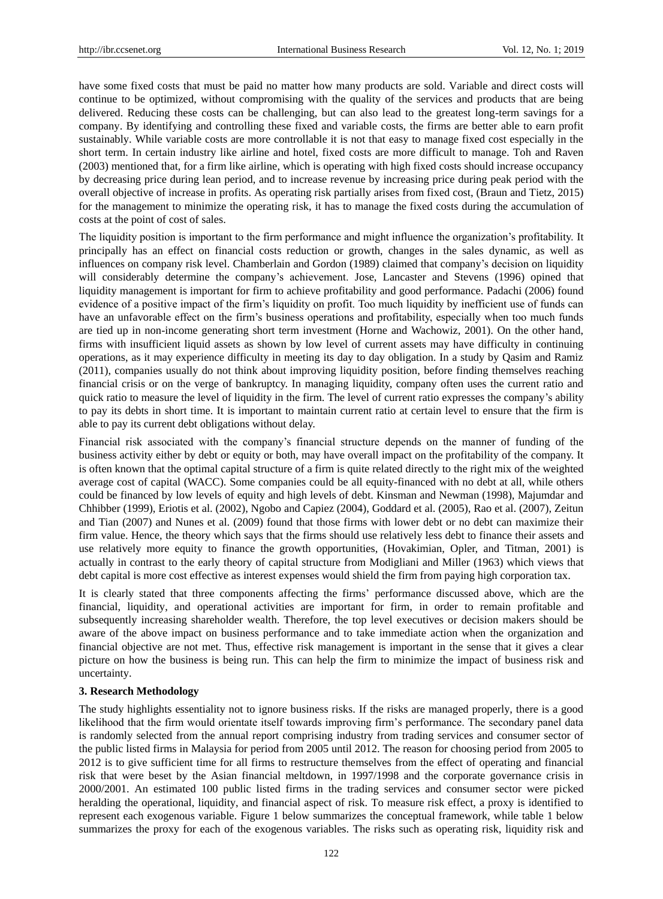have some fixed costs that must be paid no matter how many products are sold. Variable and direct costs will continue to be optimized, without compromising with the quality of the services and products that are being delivered. Reducing these costs can be challenging, but can also lead to the greatest long-term savings for a company. By identifying and controlling these fixed and variable costs, the firms are better able to earn profit sustainably. While variable costs are more controllable it is not that easy to manage fixed cost especially in the short term. In certain industry like airline and hotel, fixed costs are more difficult to manage. Toh and Raven (2003) mentioned that, for a firm like airline, which is operating with high fixed costs should increase occupancy by decreasing price during lean period, and to increase revenue by increasing price during peak period with the overall objective of increase in profits. As operating risk partially arises from fixed cost, (Braun and Tietz, 2015) for the management to minimize the operating risk, it has to manage the fixed costs during the accumulation of costs at the point of cost of sales.

The liquidity position is important to the firm performance and might influence the organization's profitability. It principally has an effect on financial costs reduction or growth, changes in the sales dynamic, as well as influences on company risk level. Chamberlain and Gordon (1989) claimed that company's decision on liquidity will considerably determine the company's achievement. Jose, Lancaster and Stevens (1996) opined that liquidity management is important for firm to achieve profitability and good performance. Padachi (2006) found evidence of a positive impact of the firm's liquidity on profit. Too much liquidity by inefficient use of funds can have an unfavorable effect on the firm's business operations and profitability, especially when too much funds are tied up in non-income generating short term investment (Horne and Wachowiz, 2001). On the other hand, firms with insufficient liquid assets as shown by low level of current assets may have difficulty in continuing operations, as it may experience difficulty in meeting its day to day obligation. In a study by Qasim and Ramiz (2011), companies usually do not think about improving liquidity position, before finding themselves reaching financial crisis or on the verge of bankruptcy. In managing liquidity, company often uses the current ratio and quick ratio to measure the level of liquidity in the firm. The level of current ratio expresses the company's ability to pay its debts in short time. It is important to maintain current ratio at certain level to ensure that the firm is able to pay its current debt obligations without delay.

Financial risk associated with the company's financial structure depends on the manner of funding of the business activity either by debt or equity or both, may have overall impact on the profitability of the company. It is often known that the optimal capital structure of a firm is quite related directly to the right mix of the weighted average cost of capital (WACC). Some companies could be all equity-financed with no debt at all, while others could be financed by low levels of equity and high levels of debt. Kinsman and Newman (1998), Majumdar and Chhibber (1999), Eriotis et al. (2002), Ngobo and Capiez (2004), Goddard et al. (2005), Rao et al. (2007), Zeitun and Tian (2007) and Nunes et al. (2009) found that those firms with lower debt or no debt can maximize their firm value. Hence, the theory which says that the firms should use relatively less debt to finance their assets and use relatively more equity to finance the growth opportunities, (Hovakimian, Opler, and Titman, 2001) is actually in contrast to the early theory of capital structure from Modigliani and Miller (1963) which views that debt capital is more cost effective as interest expenses would shield the firm from paying high corporation tax.

It is clearly stated that three components affecting the firms' performance discussed above, which are the financial, liquidity, and operational activities are important for firm, in order to remain profitable and subsequently increasing shareholder wealth. Therefore, the top level executives or decision makers should be aware of the above impact on business performance and to take immediate action when the organization and financial objective are not met. Thus, effective risk management is important in the sense that it gives a clear picture on how the business is being run. This can help the firm to minimize the impact of business risk and uncertainty.

## **3. Research Methodology**

The study highlights essentiality not to ignore business risks. If the risks are managed properly, there is a good likelihood that the firm would orientate itself towards improving firm's performance. The secondary panel data is randomly selected from the annual report comprising industry from trading services and consumer sector of the public listed firms in Malaysia for period from 2005 until 2012. The reason for choosing period from 2005 to 2012 is to give sufficient time for all firms to restructure themselves from the effect of operating and financial risk that were beset by the Asian financial meltdown, in 1997/1998 and the corporate governance crisis in 2000/2001. An estimated 100 public listed firms in the trading services and consumer sector were picked heralding the operational, liquidity, and financial aspect of risk. To measure risk effect, a proxy is identified to represent each exogenous variable. Figure 1 below summarizes the conceptual framework, while table 1 below summarizes the proxy for each of the exogenous variables. The risks such as operating risk, liquidity risk and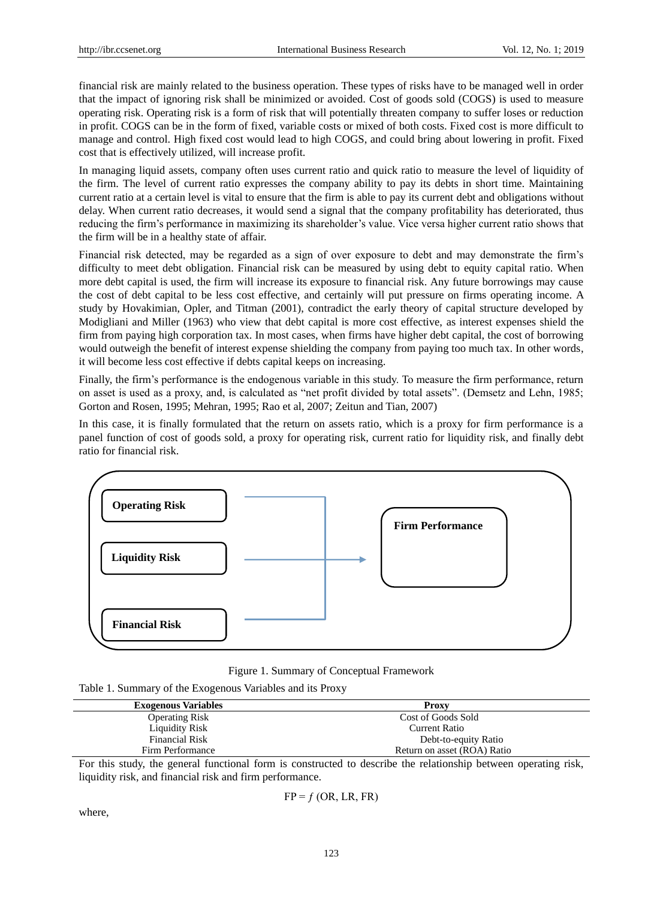financial risk are mainly related to the business operation. These types of risks have to be managed well in order that the impact of ignoring risk shall be minimized or avoided. Cost of goods sold (COGS) is used to measure operating risk. Operating risk is a form of risk that will potentially threaten company to suffer loses or reduction in profit. COGS can be in the form of fixed, variable costs or mixed of both costs. Fixed cost is more difficult to manage and control. High fixed cost would lead to high COGS, and could bring about lowering in profit. Fixed cost that is effectively utilized, will increase profit.

In managing liquid assets, company often uses current ratio and quick ratio to measure the level of liquidity of the firm. The level of current ratio expresses the company ability to pay its debts in short time. Maintaining current ratio at a certain level is vital to ensure that the firm is able to pay its current debt and obligations without delay. When current ratio decreases, it would send a signal that the company profitability has deteriorated, thus reducing the firm's performance in maximizing its shareholder's value. Vice versa higher current ratio shows that the firm will be in a healthy state of affair.

Financial risk detected, may be regarded as a sign of over exposure to debt and may demonstrate the firm's difficulty to meet debt obligation. Financial risk can be measured by using debt to equity capital ratio. When more debt capital is used, the firm will increase its exposure to financial risk. Any future borrowings may cause the cost of debt capital to be less cost effective, and certainly will put pressure on firms operating income. A study by Hovakimian, Opler, and Titman (2001), contradict the early theory of capital structure developed by Modigliani and Miller (1963) who view that debt capital is more cost effective, as interest expenses shield the firm from paying high corporation tax. In most cases, when firms have higher debt capital, the cost of borrowing would outweigh the benefit of interest expense shielding the company from paying too much tax. In other words, it will become less cost effective if debts capital keeps on increasing.

Finally, the firm's performance is the endogenous variable in this study. To measure the firm performance, return on asset is used as a proxy, and, is calculated as "net profit divided by total assets". (Demsetz and Lehn, 1985; Gorton and Rosen, 1995; Mehran, 1995; Rao et al, 2007; Zeitun and Tian, 2007)

In this case, it is finally formulated that the return on assets ratio, which is a proxy for firm performance is a panel function of cost of goods sold, a proxy for operating risk, current ratio for liquidity risk, and finally debt ratio for financial risk.



Figure 1. Summary of Conceptual Framework

Table 1. Summary of the Exogenous Variables and its Proxy

| <b>Exogenous Variables</b> | Proxy                       |
|----------------------------|-----------------------------|
| <b>Operating Risk</b>      | Cost of Goods Sold          |
| <b>Liquidity Risk</b>      | Current Ratio               |
| <b>Financial Risk</b>      | Debt-to-equity Ratio        |
| Firm Performance           | Return on asset (ROA) Ratio |

For this study, the general functional form is constructed to describe the relationship between operating risk, liquidity risk, and financial risk and firm performance.

$$
FP = f (OR, LR, FR)
$$

where,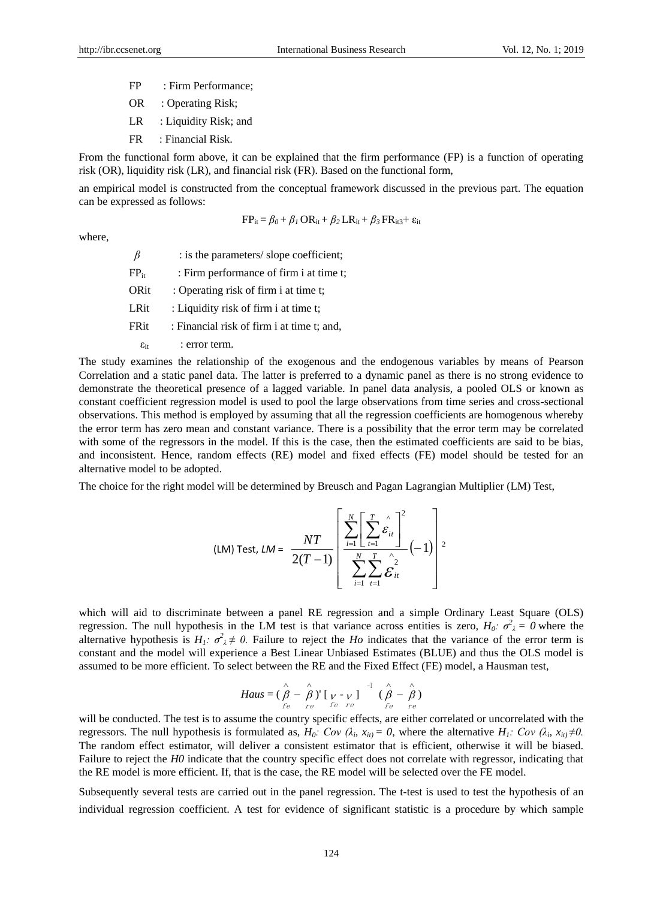- FP : Firm Performance;
- OR : Operating Risk;
- LR : Liquidity Risk; and
- FR : Financial Risk.

From the functional form above, it can be explained that the firm performance (FP) is a function of operating risk (OR), liquidity risk (LR), and financial risk (FR). Based on the functional form,

an empirical model is constructed from the conceptual framework discussed in the previous part. The equation can be expressed as follows:

$$
FP_{it} = \beta_0 + \beta_1 \, OR_{it} + \beta_2 \, LR_{it} + \beta_3 \, FR_{it3} + \epsilon_{it}
$$

where,

|                        | : is the parameters/slope coefficient;     |
|------------------------|--------------------------------------------|
| $FP_{it}$              | : Firm performance of firm i at time t;    |
| ORit                   | : Operating risk of firm i at time t;      |
| LRit                   | : Liquidity risk of firm i at time t;      |
| FRit                   | : Financial risk of firm i at time t; and, |
| $\varepsilon_{\rm it}$ | : error term.                              |

The study examines the relationship of the exogenous and the endogenous variables by means of Pearson Correlation and a static panel data. The latter is preferred to a dynamic panel as there is no strong evidence to demonstrate the theoretical presence of a lagged variable. In panel data analysis, a pooled OLS or known as constant coefficient regression model is used to pool the large observations from time series and cross-sectional observations. This method is employed by assuming that all the regression coefficients are homogenous whereby the error term has zero mean and constant variance. There is a possibility that the error term may be correlated with some of the regressors in the model. If this is the case, then the estimated coefficients are said to be bias, and inconsistent. Hence, random effects (RE) model and fixed effects (FE) model should be tested for an alternative model to be adopted.

The choice for the right model will be determined by Breusch and Pagan Lagrangian Multiplier (LM) Test,

$$
\text{(LM) Test, }\mathit{LM} = \frac{NT}{2(T-1)} \left[ \frac{\sum_{i=1}^{N} \left[ \sum_{t=1}^{T} \hat{\varepsilon}_{it} \right]^{2}}{\sum_{i=1}^{N} \sum_{t=1}^{T} \hat{\varepsilon}_{it}^{2}} (-1) \right]^{2}
$$

which will aid to discriminate between a panel RE regression and a simple Ordinary Least Square (OLS) regression. The null hypothesis in the LM test is that variance across entities is zero,  $H_0$ *:*  $\sigma^2$ <sub> $\lambda$ </sub> = 0 where the alternative hypothesis is  $H_1$ *:*  $\sigma^2 \neq 0$ . Failure to reject the *Ho* indicates that the variance of the error term is constant and the model will experience a Best Linear Unbiased Estimates (BLUE) and thus the OLS model is assumed to be more efficient. To select between the RE and the Fixed Effect (FE) model, a Hausman test,

$$
Haus = (\stackrel{\wedge}{\beta} - \stackrel{\wedge}{\beta})' [v - v] \stackrel{-1}{(\stackrel{\wedge}{\beta} - \stackrel{\wedge}{\beta})}
$$
  
 
$$
f_e \stackrel{-1}{\stackrel{\wedge}{\beta}} = \stackrel{\wedge}{f_e} \stackrel{\wedge}{f_e}
$$

will be conducted. The test is to assume the country specific effects, are either correlated or uncorrelated with the regressors. The null hypothesis is formulated as,  $H_0$ : Cov ( $\lambda_i$ ,  $x_{itj} = 0$ , where the alternative  $H_1$ : Cov ( $\lambda_i$ ,  $x_{itj} \neq 0$ . The random effect estimator, will deliver a consistent estimator that is efficient, otherwise it will be biased. Failure to reject the *H0* indicate that the country specific effect does not correlate with regressor, indicating that the RE model is more efficient. If, that is the case, the RE model will be selected over the FE model.

Subsequently several tests are carried out in the panel regression. The t-test is used to test the hypothesis of an individual regression coefficient. A test for evidence of significant statistic is a procedure by which sample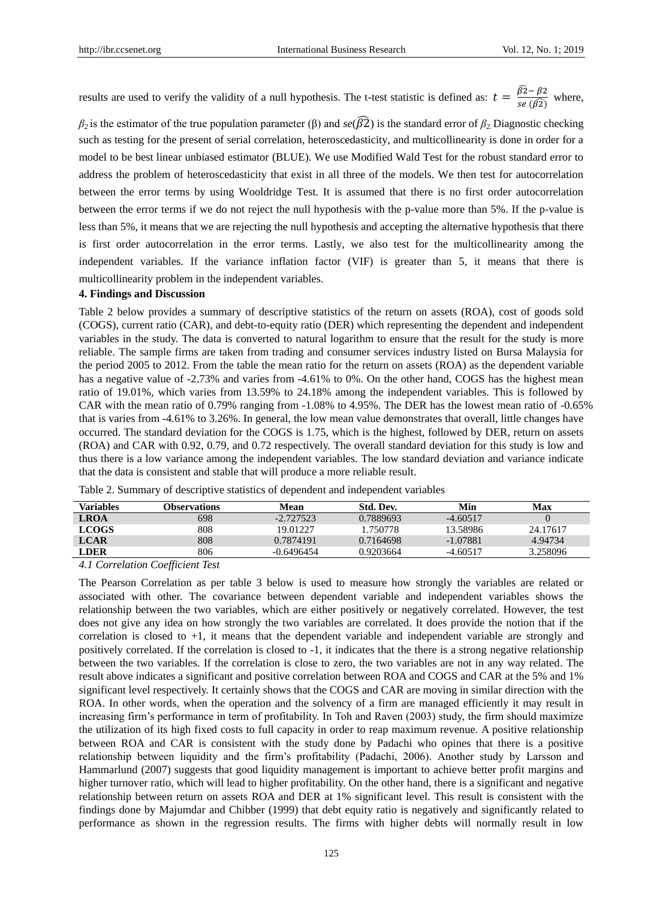results are used to verify the validity of a null hypothesis. The t-test statistic is defined as:  $t = \frac{\widehat{\beta}^2}{\widehat{\beta}^2}$  $\frac{\overline{P^2} - \overline{P^2}}{\overline{se}(\overline{\beta 2})}$  where,

*β*<sub>2</sub> is the estimator of the true population parameter (β) and *se*( $\widehat{\beta2}$ ) is the standard error of *β*<sub>2</sub>. Diagnostic checking such as testing for the present of serial correlation, heteroscedasticity, and multicollinearity is done in order for a model to be best linear unbiased estimator (BLUE). We use Modified Wald Test for the robust standard error to address the problem of heteroscedasticity that exist in all three of the models. We then test for autocorrelation between the error terms by using Wooldridge Test. It is assumed that there is no first order autocorrelation between the error terms if we do not reject the null hypothesis with the p-value more than 5%. If the p-value is less than 5%, it means that we are rejecting the null hypothesis and accepting the alternative hypothesis that there is first order autocorrelation in the error terms. Lastly, we also test for the multicollinearity among the independent variables. If the variance inflation factor (VIF) is greater than 5, it means that there is multicollinearity problem in the independent variables.

## **4. Findings and Discussion**

Table 2 below provides a summary of descriptive statistics of the return on assets (ROA), cost of goods sold (COGS), current ratio (CAR), and debt-to-equity ratio (DER) which representing the dependent and independent variables in the study. The data is converted to natural logarithm to ensure that the result for the study is more reliable. The sample firms are taken from trading and consumer services industry listed on Bursa Malaysia for the period 2005 to 2012. From the table the mean ratio for the return on assets (ROA) as the dependent variable has a negative value of -2.73% and varies from -4.61% to 0%. On the other hand, COGS has the highest mean ratio of 19.01%, which varies from 13.59% to 24.18% among the independent variables. This is followed by CAR with the mean ratio of 0.79% ranging from -1.08% to 4.95%. The DER has the lowest mean ratio of -0.65% that is varies from -4.61% to 3.26%. In general, the low mean value demonstrates that overall, little changes have occurred. The standard deviation for the COGS is 1.75, which is the highest, followed by DER, return on assets (ROA) and CAR with 0.92, 0.79, and 0.72 respectively. The overall standard deviation for this study is low and thus there is a low variance among the independent variables. The low standard deviation and variance indicate that the data is consistent and stable that will produce a more reliable result.

| Variables    | <b>Observations</b> | Mean         | Std. Dev. | Min        | Max      |
|--------------|---------------------|--------------|-----------|------------|----------|
| LROA         | 698                 | $-2.727523$  | 0.7889693 | $-4.60517$ |          |
| <b>LCOGS</b> | 808                 | 19.01227     | 1.750778  | 13.58986   | 24.17617 |
| <b>LCAR</b>  | 808                 | 0.7874191    | 0.7164698 | $-1.07881$ | 4.94734  |
| <b>LDER</b>  | 806                 | $-0.6496454$ | 0.9203664 | $-4.60517$ | 3.258096 |

Table 2. Summary of descriptive statistics of dependent and independent variables

## *4.1 Correlation Coefficient Test*

The Pearson Correlation as per table 3 below is used to measure how strongly the variables are related or associated with other. The covariance between dependent variable and independent variables shows the relationship between the two variables, which are either positively or negatively correlated. However, the test does not give any idea on how strongly the two variables are correlated. It does provide the notion that if the correlation is closed to +1, it means that the dependent variable and independent variable are strongly and positively correlated. If the correlation is closed to -1, it indicates that the there is a strong negative relationship between the two variables. If the correlation is close to zero, the two variables are not in any way related. The result above indicates a significant and positive correlation between ROA and COGS and CAR at the 5% and 1% significant level respectively. It certainly shows that the COGS and CAR are moving in similar direction with the ROA. In other words, when the operation and the solvency of a firm are managed efficiently it may result in increasing firm's performance in term of profitability. In Toh and Raven (2003) study, the firm should maximize the utilization of its high fixed costs to full capacity in order to reap maximum revenue. A positive relationship between ROA and CAR is consistent with the study done by Padachi who opines that there is a positive relationship between liquidity and the firm's profitability (Padachi, 2006). Another study by Larsson and Hammarlund (2007) suggests that good liquidity management is important to achieve better profit margins and higher turnover ratio, which will lead to higher profitability. On the other hand, there is a significant and negative relationship between return on assets ROA and DER at 1% significant level. This result is consistent with the findings done by Majumdar and Chibber (1999) that debt equity ratio is negatively and significantly related to performance as shown in the regression results. The firms with higher debts will normally result in low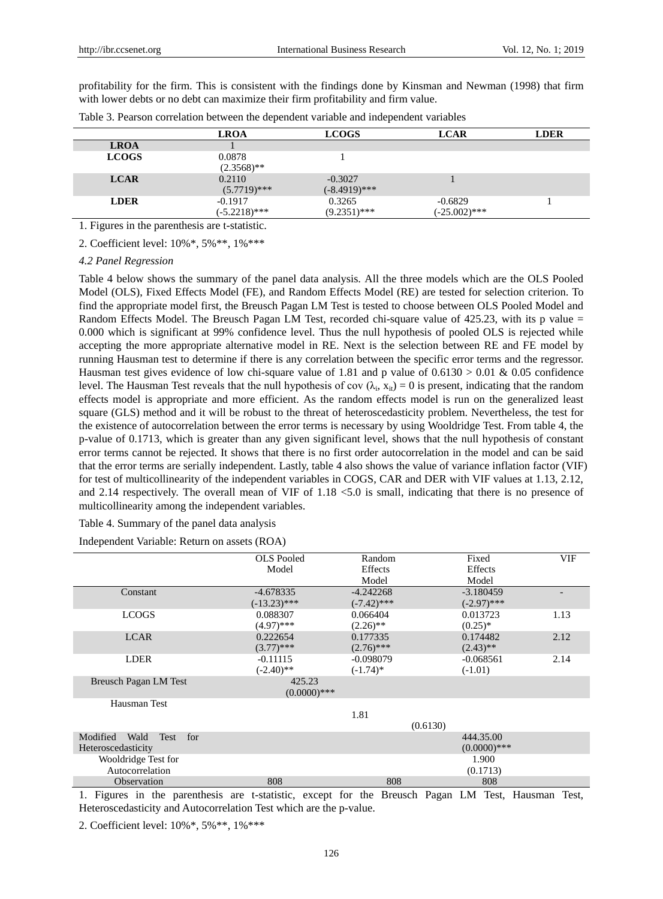profitability for the firm. This is consistent with the findings done by Kinsman and Newman (1998) that firm with lower debts or no debt can maximize their firm profitability and firm value.

|              | <b>LROA</b>                  | <b>LCOGS</b>                 | <b>LCAR</b>                  | <b>LDER</b> |
|--------------|------------------------------|------------------------------|------------------------------|-------------|
| <b>LROA</b>  |                              |                              |                              |             |
| <b>LCOGS</b> | 0.0878<br>$(2.3568)$ **      |                              |                              |             |
| <b>LCAR</b>  | 0.2110<br>$(5.7719)$ ***     | $-0.3027$<br>$(-8.4919)$ *** |                              |             |
| <b>LDER</b>  | $-0.1917$<br>$(-5.2218)$ *** | 0.3265<br>$(9.2351)$ ***     | $-0.6829$<br>$(-25.002)$ *** |             |

Table 3. Pearson correlation between the dependent variable and independent variables

1. Figures in the parenthesis are t-statistic.

2. Coefficient level: 10%\*, 5%\*\*, 1%\*\*\*

## *4.2 Panel Regression*

Table 4 below shows the summary of the panel data analysis. All the three models which are the OLS Pooled Model (OLS), Fixed Effects Model (FE), and Random Effects Model (RE) are tested for selection criterion. To find the appropriate model first, the Breusch Pagan LM Test is tested to choose between OLS Pooled Model and Random Effects Model. The Breusch Pagan LM Test, recorded chi-square value of  $425.23$ , with its p value  $=$ 0.000 which is significant at 99% confidence level. Thus the null hypothesis of pooled OLS is rejected while accepting the more appropriate alternative model in RE. Next is the selection between RE and FE model by running Hausman test to determine if there is any correlation between the specific error terms and the regressor. Hausman test gives evidence of low chi-square value of 1.81 and p value of  $0.6130 > 0.01$  & 0.05 confidence level. The Hausman Test reveals that the null hypothesis of cov  $(\lambda_i, x_{it}) = 0$  is present, indicating that the random effects model is appropriate and more efficient. As the random effects model is run on the generalized least square (GLS) method and it will be robust to the threat of heteroscedasticity problem. Nevertheless, the test for the existence of autocorrelation between the error terms is necessary by using Wooldridge Test. From table 4, the p-value of 0.1713, which is greater than any given significant level, shows that the null hypothesis of constant error terms cannot be rejected. It shows that there is no first order autocorrelation in the model and can be said that the error terms are serially independent. Lastly, table 4 also shows the value of variance inflation factor (VIF) for test of multicollinearity of the independent variables in COGS, CAR and DER with VIF values at 1.13, 2.12, and 2.14 respectively. The overall mean of VIF of 1.18 <5.0 is small, indicating that there is no presence of multicollinearity among the independent variables.

#### Table 4. Summary of the panel data analysis

Independent Variable: Return on assets (ROA)

|                                 | <b>OLS</b> Pooled | Random               |          | Fixed             | VIF  |
|---------------------------------|-------------------|----------------------|----------|-------------------|------|
|                                 | Model             | Effects              |          | Effects           |      |
|                                 |                   | Model                |          | Model             |      |
| Constant                        | $-4.678335$       | $-4.242268$          |          | $-3.180459$       |      |
|                                 | $(-13.23)$ ***    | $(-7.42)$ ***        |          | $(-2.97)$ ***     |      |
| <b>LCOGS</b>                    | 0.088307          | 0.066404             |          | 0.013723          | 1.13 |
|                                 | $(4.97)$ ***      | $(2.26)$ **          |          | $(0.25)^*$        |      |
| <b>LCAR</b>                     | 0.222654          | 0.177335             |          | 0.174482          | 2.12 |
|                                 | $(3.77)$ ***      | $(2.76)$ ***         |          | $(2.43)$ **       |      |
| <b>LDER</b>                     | $-0.11115$        | $-0.098079$          |          | $-0.068561$       | 2.14 |
|                                 | $(-2.40)$ **      | $(-1.74)$ *          |          | $(-1.01)$         |      |
| <b>Breusch Pagan LM Test</b>    | 425.23            |                      |          |                   |      |
|                                 | $(0.0000)$ ***    |                      |          |                   |      |
| Hausman Test                    |                   |                      |          |                   |      |
|                                 |                   | 1.81                 |          |                   |      |
|                                 |                   |                      | (0.6130) |                   |      |
| Modified<br>Wald<br>Test<br>for |                   |                      |          | 444.35.00         |      |
| Heteroscedasticity              |                   |                      |          | $(0.0000)$ ***    |      |
| Wooldridge Test for             |                   |                      |          | 1.900             |      |
| Autocorrelation                 |                   |                      |          | (0.1713)          |      |
| Observation                     | 808               | 808                  |          | 808               |      |
|                                 |                   | $\sim$ $\sim$ $\sim$ |          | $\mathbf{v}$<br>. |      |

1. Figures in the parenthesis are t-statistic, except for the Breusch Pagan LM Test, Hausman Test, Heteroscedasticity and Autocorrelation Test which are the p-value.

2. Coefficient level: 10%\*, 5%\*\*, 1%\*\*\*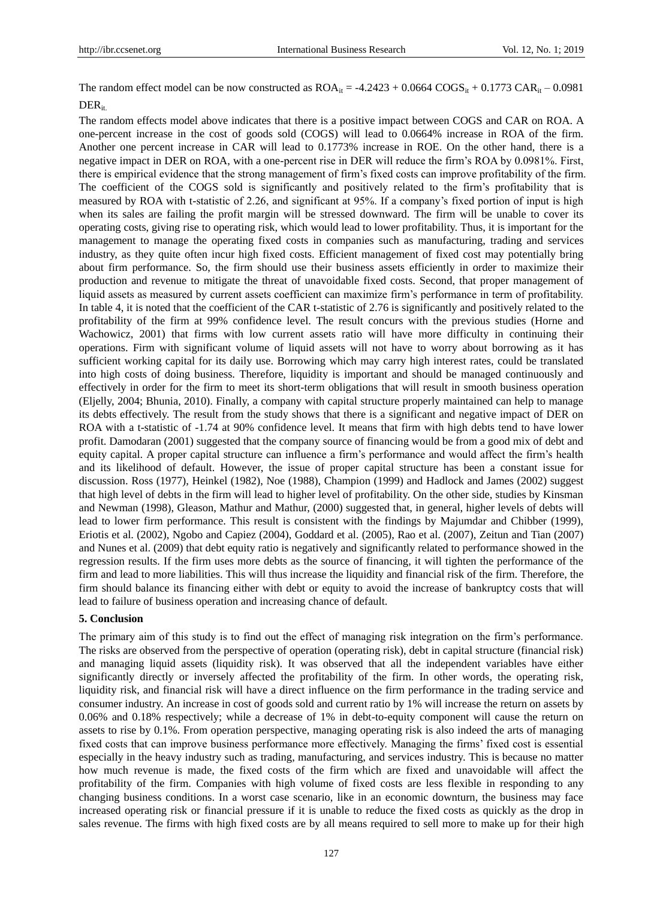The random effect model can be now constructed as  $ROA_{it} = -4.2423 + 0.0664$   $COGS_{it} + 0.1773$   $CAR_{it} - 0.0981$ DER<sub>it.</sub>

The random effects model above indicates that there is a positive impact between COGS and CAR on ROA. A one-percent increase in the cost of goods sold (COGS) will lead to 0.0664% increase in ROA of the firm. Another one percent increase in CAR will lead to 0.1773% increase in ROE. On the other hand, there is a negative impact in DER on ROA, with a one-percent rise in DER will reduce the firm's ROA by 0.0981%. First, there is empirical evidence that the strong management of firm's fixed costs can improve profitability of the firm. The coefficient of the COGS sold is significantly and positively related to the firm's profitability that is measured by ROA with t-statistic of 2.26, and significant at 95%. If a company's fixed portion of input is high when its sales are failing the profit margin will be stressed downward. The firm will be unable to cover its operating costs, giving rise to operating risk, which would lead to lower profitability. Thus, it is important for the management to manage the operating fixed costs in companies such as manufacturing, trading and services industry, as they quite often incur high fixed costs. Efficient management of fixed cost may potentially bring about firm performance. So, the firm should use their business assets efficiently in order to maximize their production and revenue to mitigate the threat of unavoidable fixed costs. Second, that proper management of liquid assets as measured by current assets coefficient can maximize firm's performance in term of profitability. In table 4, it is noted that the coefficient of the CAR t-statistic of 2.76 is significantly and positively related to the profitability of the firm at 99% confidence level. The result concurs with the previous studies (Horne and Wachowicz, 2001) that firms with low current assets ratio will have more difficulty in continuing their operations. Firm with significant volume of liquid assets will not have to worry about borrowing as it has sufficient working capital for its daily use. Borrowing which may carry high interest rates, could be translated into high costs of doing business. Therefore, liquidity is important and should be managed continuously and effectively in order for the firm to meet its short-term obligations that will result in smooth business operation (Eljelly, 2004; Bhunia, 2010). Finally, a company with capital structure properly maintained can help to manage its debts effectively. The result from the study shows that there is a significant and negative impact of DER on ROA with a t-statistic of -1.74 at 90% confidence level. It means that firm with high debts tend to have lower profit. Damodaran (2001) suggested that the company source of financing would be from a good mix of debt and equity capital. A proper capital structure can influence a firm's performance and would affect the firm's health and its likelihood of default. However, the issue of proper capital structure has been a constant issue for discussion. Ross (1977), Heinkel (1982), Noe (1988), Champion (1999) and Hadlock and James (2002) suggest that high level of debts in the firm will lead to higher level of profitability. On the other side, studies by Kinsman and Newman (1998), Gleason, Mathur and Mathur, (2000) suggested that, in general, higher levels of debts will lead to lower firm performance. This result is consistent with the findings by Majumdar and Chibber (1999), Eriotis et al. (2002), Ngobo and Capiez (2004), Goddard et al. (2005), Rao et al. (2007), Zeitun and Tian (2007) and Nunes et al. (2009) that debt equity ratio is negatively and significantly related to performance showed in the regression results. If the firm uses more debts as the source of financing, it will tighten the performance of the firm and lead to more liabilities. This will thus increase the liquidity and financial risk of the firm. Therefore, the firm should balance its financing either with debt or equity to avoid the increase of bankruptcy costs that will lead to failure of business operation and increasing chance of default.

#### **5. Conclusion**

The primary aim of this study is to find out the effect of managing risk integration on the firm's performance. The risks are observed from the perspective of operation (operating risk), debt in capital structure (financial risk) and managing liquid assets (liquidity risk). It was observed that all the independent variables have either significantly directly or inversely affected the profitability of the firm. In other words, the operating risk, liquidity risk, and financial risk will have a direct influence on the firm performance in the trading service and consumer industry. An increase in cost of goods sold and current ratio by 1% will increase the return on assets by 0.06% and 0.18% respectively; while a decrease of 1% in debt-to-equity component will cause the return on assets to rise by 0.1%. From operation perspective, managing operating risk is also indeed the arts of managing fixed costs that can improve business performance more effectively. Managing the firms' fixed cost is essential especially in the heavy industry such as trading, manufacturing, and services industry. This is because no matter how much revenue is made, the fixed costs of the firm which are fixed and unavoidable will affect the profitability of the firm. Companies with high volume of fixed costs are less flexible in responding to any changing business conditions. In a worst case scenario, like in an economic downturn, the business may face increased operating risk or financial pressure if it is unable to reduce the fixed costs as quickly as the drop in sales revenue. The firms with high fixed costs are by all means required to sell more to make up for their high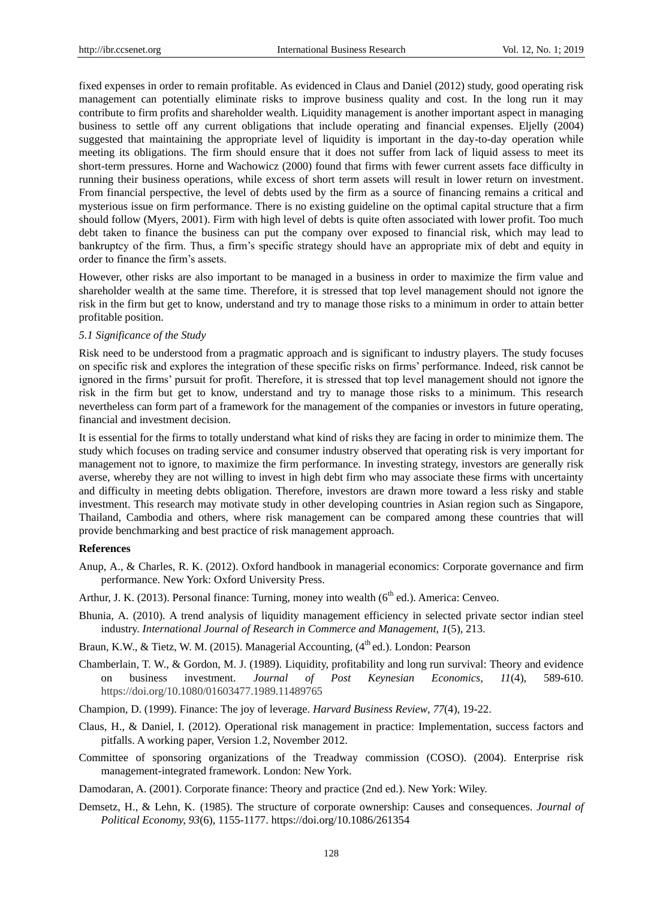fixed expenses in order to remain profitable. As evidenced in Claus and Daniel (2012) study, good operating risk management can potentially eliminate risks to improve business quality and cost. In the long run it may contribute to firm profits and shareholder wealth. Liquidity management is another important aspect in managing business to settle off any current obligations that include operating and financial expenses. Eljelly (2004) suggested that maintaining the appropriate level of liquidity is important in the day-to-day operation while meeting its obligations. The firm should ensure that it does not suffer from lack of liquid assess to meet its short-term pressures. Horne and Wachowicz (2000) found that firms with fewer current assets face difficulty in running their business operations, while excess of short term assets will result in lower return on investment. From financial perspective, the level of debts used by the firm as a source of financing remains a critical and mysterious issue on firm performance. There is no existing guideline on the optimal capital structure that a firm should follow (Myers, 2001). Firm with high level of debts is quite often associated with lower profit. Too much debt taken to finance the business can put the company over exposed to financial risk, which may lead to bankruptcy of the firm. Thus, a firm's specific strategy should have an appropriate mix of debt and equity in order to finance the firm's assets.

However, other risks are also important to be managed in a business in order to maximize the firm value and shareholder wealth at the same time. Therefore, it is stressed that top level management should not ignore the risk in the firm but get to know, understand and try to manage those risks to a minimum in order to attain better profitable position.

#### *5.1 Significance of the Study*

Risk need to be understood from a pragmatic approach and is significant to industry players. The study focuses on specific risk and explores the integration of these specific risks on firms' performance. Indeed, risk cannot be ignored in the firms' pursuit for profit. Therefore, it is stressed that top level management should not ignore the risk in the firm but get to know, understand and try to manage those risks to a minimum. This research nevertheless can form part of a framework for the management of the companies or investors in future operating, financial and investment decision.

It is essential for the firms to totally understand what kind of risks they are facing in order to minimize them. The study which focuses on trading service and consumer industry observed that operating risk is very important for management not to ignore, to maximize the firm performance. In investing strategy, investors are generally risk averse, whereby they are not willing to invest in high debt firm who may associate these firms with uncertainty and difficulty in meeting debts obligation. Therefore, investors are drawn more toward a less risky and stable investment. This research may motivate study in other developing countries in Asian region such as Singapore, Thailand, Cambodia and others, where risk management can be compared among these countries that will provide benchmarking and best practice of risk management approach.

#### **References**

- Anup, A., & Charles, R. K. (2012). Oxford handbook in managerial economics: Corporate governance and firm performance. New York: Oxford University Press.
- Arthur, J. K. (2013). Personal finance: Turning, money into wealth ( $6<sup>th</sup>$  ed.). America: Cenveo.
- Bhunia, A. (2010). A trend analysis of liquidity management efficiency in selected private sector indian steel industry. *International Journal of Research in Commerce and Management, 1*(5), 213.
- Braun, K.W., & Tietz, W. M. (2015). Managerial Accounting, (4<sup>th</sup> ed.). London: Pearson
- Chamberlain, T. W., & Gordon, M. J. (1989). Liquidity, profitability and long run survival: Theory and evidence on business investment. *Journal of Post Keynesian Economics, 11*(4), 589-610. https://doi.org/10.1080/01603477.1989.11489765
- Champion, D. (1999). Finance: The joy of leverage. *Harvard Business Review, 77*(4), 19-22.
- Claus, H., & Daniel, I. (2012). Operational risk management in practice: Implementation, success factors and pitfalls. A working paper, Version 1.2, November 2012.
- Committee of sponsoring organizations of the Treadway commission (COSO). (2004). Enterprise risk management-integrated framework. London: New York.
- Damodaran, A. (2001). Corporate finance: Theory and practice (2nd ed.). New York: Wiley.
- Demsetz, H., & Lehn, K. (1985). The structure of corporate ownership: Causes and consequences. *Journal of Political Economy, 93*(6), 1155-1177. https://doi.org/10.1086/261354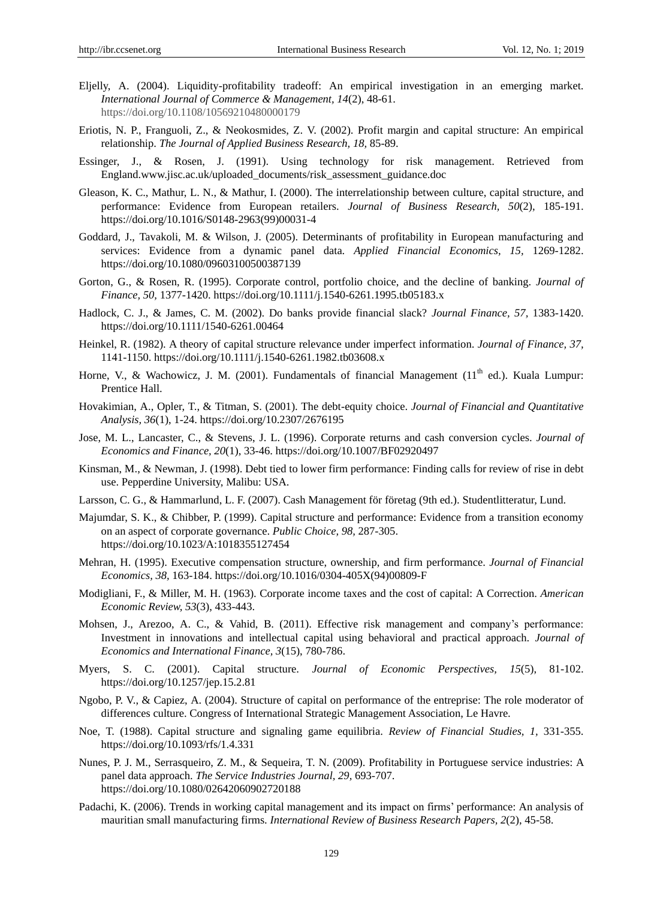- Eljelly, A. (2004). Liquidity-profitability tradeoff: An empirical investigation in an emerging market. *International Journal of Commerce & Management, 14*(2), 48-61. https://doi.org/10.1108/10569210480000179
- Eriotis, N. P., Franguoli, Z., & Neokosmides, Z. V. (2002). Profit margin and capital structure: An empirical relationship. *The Journal of Applied Business Research, 18,* 85-89.
- Essinger, J., & Rosen, J. (1991). Using technology for risk management. Retrieved from England.www.jisc.ac.uk/uploaded\_documents/risk\_assessment\_guidance.doc
- Gleason, K. C., Mathur, L. N., & Mathur, I. (2000). The interrelationship between culture, capital structure, and performance: Evidence from European retailers. *Journal of Business Research, 50*(2), 185-191. https://doi.org/10.1016/S0148-2963(99)00031-4
- Goddard, J., Tavakoli, M. & Wilson, J. (2005). Determinants of profitability in European manufacturing and services: Evidence from a dynamic panel data. *Applied Financial Economics, 15,* 1269-1282. https://doi.org/10.1080/09603100500387139
- Gorton, G., & Rosen, R. (1995). Corporate control, portfolio choice, and the decline of banking. *Journal of Finance, 50,* 1377-1420. https://doi.org/10.1111/j.1540-6261.1995.tb05183.x
- Hadlock, C. J., & James, C. M. (2002). Do banks provide financial slack? *Journal Finance, 57,* 1383-1420. https://doi.org/10.1111/1540-6261.00464
- Heinkel, R. (1982). A theory of capital structure relevance under imperfect information. *Journal of Finance, 37,*  1141-1150. https://doi.org/10.1111/j.1540-6261.1982.tb03608.x
- Horne, V., & Wachowicz, J. M. (2001). Fundamentals of financial Management (11<sup>th</sup> ed.). Kuala Lumpur: Prentice Hall.
- Hovakimian, A., Opler, T., & Titman, S. (2001). The debt-equity choice. *Journal of Financial and Quantitative Analysis, 36*(1), 1-24. https://doi.org/10.2307/2676195
- Jose, M. L., Lancaster, C., & Stevens, J. L. (1996). Corporate returns and cash conversion cycles. *Journal of Economics and Finance, 20*(1), 33-46. https://doi.org/10.1007/BF02920497
- Kinsman, M., & Newman, J. (1998). Debt tied to lower firm performance: Finding calls for review of rise in debt use. Pepperdine University, Malibu: USA.
- Larsson, C. G., & Hammarlund, L. F. (2007). Cash Management för företag (9th ed.). Studentlitteratur, Lund.
- Majumdar, S. K., & Chibber, P. (1999). Capital structure and performance: Evidence from a transition economy on an aspect of corporate governance. *Public Choice, 98,* 287-305. https://doi.org/10.1023/A:1018355127454
- Mehran, H. (1995). Executive compensation structure, ownership, and firm performance. *Journal of Financial Economics, 38,* 163-184. https://doi.org/10.1016/0304-405X(94)00809-F
- Modigliani, F., & Miller, M. H. (1963). Corporate income taxes and the cost of capital: A Correction. *American Economic Review, 53*(3), 433-443.
- Mohsen, J., Arezoo, A. C., & Vahid, B. (2011). Effective risk management and company's performance: Investment in innovations and intellectual capital using behavioral and practical approach. *Journal of Economics and International Finance, 3*(15), 780-786.
- Myers, S. C. (2001). Capital structure. *Journal of Economic Perspectives, 15*(5), 81-102. https://doi.org/10.1257/jep.15.2.81
- Ngobo, P. V., & Capiez, A. (2004). Structure of capital on performance of the entreprise: The role moderator of differences culture. Congress of International Strategic Management Association, Le Havre.
- Noe, T. (1988). Capital structure and signaling game equilibria. *Review of Financial Studies, 1,* 331-355. https://doi.org/10.1093/rfs/1.4.331
- Nunes, P. J. M., Serrasqueiro, Z. M., & Sequeira, T. N. (2009). Profitability in Portuguese service industries: A panel data approach. *The Service Industries Journal, 29,* 693-707. https://doi.org/10.1080/02642060902720188
- Padachi, K. (2006). Trends in working capital management and its impact on firms' performance: An analysis of mauritian small manufacturing firms. *International Review of Business Research Papers, 2*(2), 45-58.